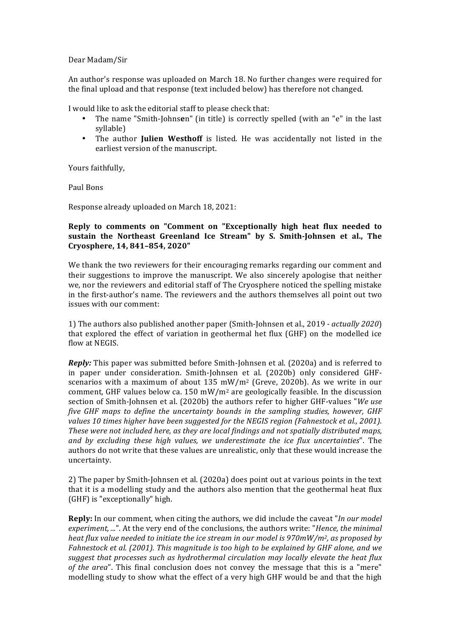Dear Madam/Sir

An author's response was uploaded on March 18. No further changes were required for the final upload and that response (text included below) has therefore not changed.

I would like to ask the editorial staff to please check that:

- The name "Smith-Johns**e**n" (in title) is correctly spelled (with an "e" in the last syllable)
- The author **Julien Westhoff** is listed. He was accidentally not listed in the earliest version of the manuscript.

Yours faithfully,

Paul Bons

Response already uploaded on March 18, 2021:

## **Reply to comments on "Comment on "Exceptionally high heat flux needed to** sustain the Northeast Greenland Ice Stream" by S. Smith-Johnsen et al., The **Cryosphere, 14, 841–854, 2020"**

We thank the two reviewers for their encouraging remarks regarding our comment and their suggestions to improve the manuscript. We also sincerely apologise that neither we, nor the reviewers and editorial staff of The Cryosphere noticed the spelling mistake in the first-author's name. The reviewers and the authors themselves all point out two issues with our comment:

1) The authors also published another paper (Smith-Johnsen et al., 2019 *- actually 2020*) that explored the effect of variation in geothermal het flux (GHF) on the modelled ice flow at NEGIS.

*Reply:* This paper was submitted before Smith-Johnsen et al. (2020a) and is referred to in paper under consideration. Smith-Johnsen et al. (2020b) only considered GHFscenarios with a maximum of about  $135$  mW/m<sup>2</sup> (Greve, 2020b). As we write in our comment, GHF values below ca.  $150 \text{ mW/m}^2$  are geologically feasible. In the discussion section of Smith-Johnsen et al. (2020b) the authors refer to higher GHF-values "*We use five GHF maps to define the uncertainty bounds in the sampling studies, however, GHF* values 10 times higher have been suggested for the NEGIS region (Fahnestock et al., 2001). *These* were not included here, as they are local findings and not spatially distributed maps, *and by excluding these high values, we underestimate the ice flux uncertainties*". The authors do not write that these values are unrealistic, only that these would increase the uncertainty.

2) The paper by Smith-Johnsen et al. (2020a) does point out at various points in the text that it is a modelling study and the authors also mention that the geothermal heat flux (GHF) is "exceptionally" high.

**Reply:** In our comment, when citing the authors, we did include the caveat "*In our model experiment, ...*". At the very end of the conclusions, the authors write: "Hence, the minimal *heat flux value needed to initiate the ice stream in our model is 970mW/m<sup>2</sup>, as proposed by Fahnestock et al.* (2001). This magnitude is too high to be explained by GHF alone, and we suggest that processes such as hydrothermal circulation may locally elevate the heat flux *of* the area". This final conclusion does not convey the message that this is a "mere" modelling study to show what the effect of a very high GHF would be and that the high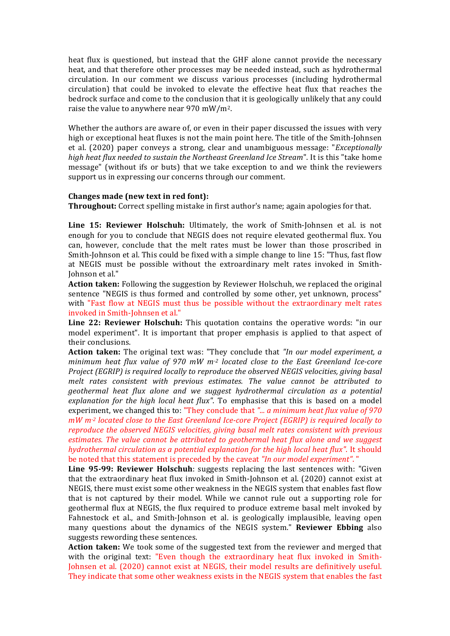heat flux is questioned, but instead that the GHF alone cannot provide the necessary heat, and that therefore other processes may be needed instead, such as hydrothermal circulation. In our comment we discuss various processes (including hydrothermal circulation) that could be invoked to elevate the effective heat flux that reaches the bedrock surface and come to the conclusion that it is geologically unlikely that any could raise the value to anywhere near  $970$  mW/m<sup>2</sup>.

Whether the authors are aware of, or even in their paper discussed the issues with very high or exceptional heat fluxes is not the main point here. The title of the Smith-Johnsen et al. (2020) paper conveys a strong, clear and unambiguous message: "*Exceptionally high heat flux needed to sustain the Northeast Greenland Ice Stream*". It is this "take home message" (without ifs or buts) that we take exception to and we think the reviewers support us in expressing our concerns through our comment.

## **Changes made (new text in red font):**

**Throughout:** Correct spelling mistake in first author's name; again apologies for that.

**Line 15: Reviewer Holschuh:** Ultimately, the work of Smith-Johnsen et al. is not enough for you to conclude that NEGIS does not require elevated geothermal flux. You can, however, conclude that the melt rates must be lower than those proscribed in Smith-Johnson et al. This could be fixed with a simple change to line 15: "Thus, fast flow at NEGIS must be possible without the extroardinary melt rates invoked in Smith-Iohnson et al."

**Action taken:** Following the suggestion by Reviewer Holschuh, we replaced the original sentence "NEGIS is thus formed and controlled by some other, yet unknown, process" with "Fast flow at NEGIS must thus be possible without the extraordinary melt rates invoked in Smith-Johnsen et al."

**Line 22: Reviewer Holschuh:** This quotation contains the operative words: "in our model experiment". It is important that proper emphasis is applied to that aspect of their conclusions.

**Action taken:** The original text was: "They conclude that "In our model experiment, a *minimum* heat flux value of 970 mW m<sup>-2</sup> located close to the East Greenland Ice-core *Project* (EGRIP) is required locally to reproduce the observed NEGIS velocities, giving basal melt rates consistent with previous estimates. The value cannot be attributed to *geothermal heat flux alone and we suggest hydrothermal circulation as a potential explanation for the high local heat flux"*. To emphasise that this is based on a model experiment, we changed this to: "They conclude that "... *a minimum heat flux value of 970 mW*  $m<sup>2</sup>$  *located close to the East Greenland Ice-core Project (EGRIP)* is required *locally to reproduce the observed NEGIS velocities, giving basal melt rates consistent with previous estimates. The value cannot be attributed to geothermal heat flux alone and we suggest hydrothermal circulation as a potential explanation for the high local heat flux".* It should be noted that this statement is preceded by the caveat *"In our model experiment"*. "

**Line 95-99: Reviewer Holschuh**: suggests replacing the last sentences with: "Given that the extraordinary heat flux invoked in Smith-Johnson et al. (2020) cannot exist at NEGIS, there must exist some other weakness in the NEGIS system that enables fast flow that is not captured by their model. While we cannot rule out a supporting role for geothermal flux at NEGIS, the flux required to produce extreme basal melt invoked by Fahnestock et al., and Smith-Johnson et al. is geologically implausible, leaving open many questions about the dynamics of the NEGIS system." **Reviewer Ebbing** also suggests rewording these sentences.

**Action taken:** We took some of the suggested text from the reviewer and merged that with the original text: "Even though the extraordinary heat flux invoked in Smith-Johnsen et al. (2020) cannot exist at NEGIS, their model results are definitively useful. They indicate that some other weakness exists in the NEGIS system that enables the fast